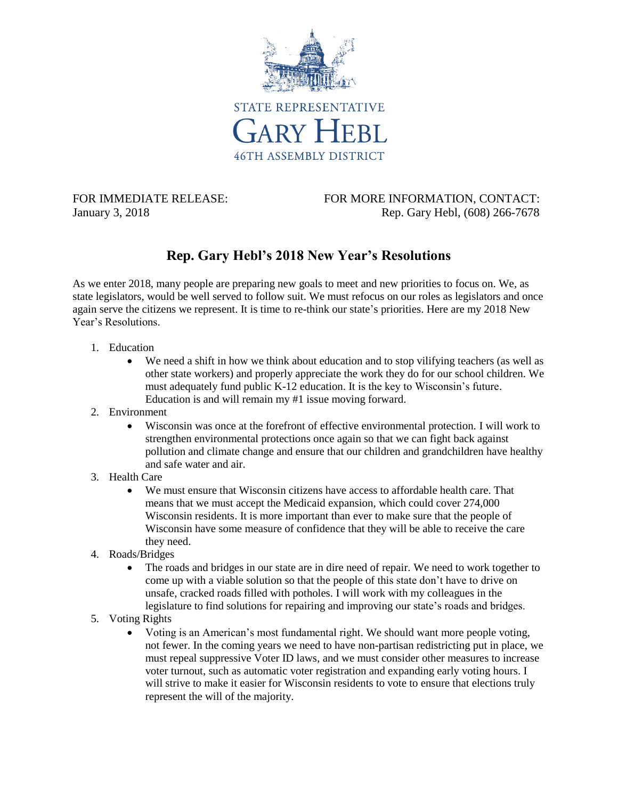

FOR IMMEDIATE RELEASE: FOR MORE INFORMATION, CONTACT: January 3, 2018 **Rep. Gary Hebl, (608) 266-7678** 

## **Rep. Gary Hebl's 2018 New Year's Resolutions**

As we enter 2018, many people are preparing new goals to meet and new priorities to focus on. We, as state legislators, would be well served to follow suit. We must refocus on our roles as legislators and once again serve the citizens we represent. It is time to re-think our state's priorities. Here are my 2018 New Year's Resolutions.

- 1. Education
	- We need a shift in how we think about education and to stop vilifying teachers (as well as other state workers) and properly appreciate the work they do for our school children. We must adequately fund public K-12 education. It is the key to Wisconsin's future. Education is and will remain my #1 issue moving forward.
- 2. Environment
	- Wisconsin was once at the forefront of effective environmental protection. I will work to strengthen environmental protections once again so that we can fight back against pollution and climate change and ensure that our children and grandchildren have healthy and safe water and air.
- 3. Health Care
	- We must ensure that Wisconsin citizens have access to affordable health care. That means that we must accept the Medicaid expansion, which could cover 274,000 Wisconsin residents. It is more important than ever to make sure that the people of Wisconsin have some measure of confidence that they will be able to receive the care they need.
- 4. Roads/Bridges
	- The roads and bridges in our state are in dire need of repair. We need to work together to come up with a viable solution so that the people of this state don't have to drive on unsafe, cracked roads filled with potholes. I will work with my colleagues in the legislature to find solutions for repairing and improving our state's roads and bridges.
- 5. Voting Rights
	- Voting is an American's most fundamental right. We should want more people voting, not fewer. In the coming years we need to have non-partisan redistricting put in place, we must repeal suppressive Voter ID laws, and we must consider other measures to increase voter turnout, such as automatic voter registration and expanding early voting hours. I will strive to make it easier for Wisconsin residents to vote to ensure that elections truly represent the will of the majority.